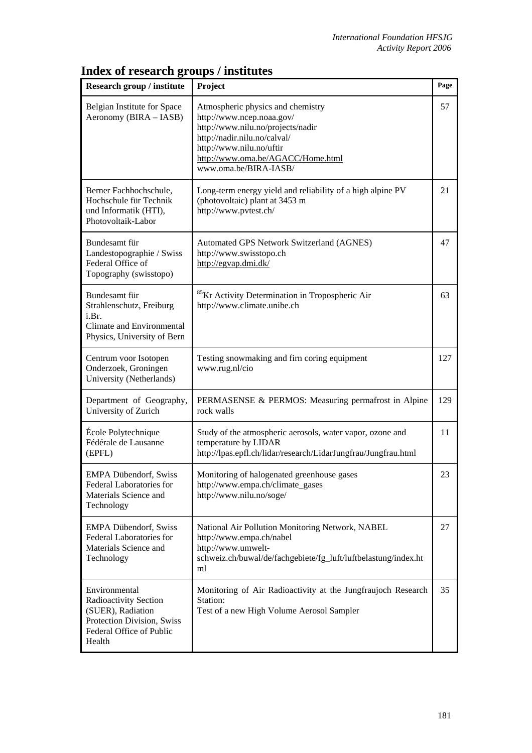| <b>Research group / institute</b>                                                                                               | Project                                                                                                                                                                                                                       | Page |
|---------------------------------------------------------------------------------------------------------------------------------|-------------------------------------------------------------------------------------------------------------------------------------------------------------------------------------------------------------------------------|------|
| Belgian Institute for Space<br>Aeronomy (BIRA – IASB)                                                                           | Atmospheric physics and chemistry<br>http://www.ncep.noaa.gov/<br>http://www.nilu.no/projects/nadir<br>http://nadir.nilu.no/calval/<br>http://www.nilu.no/uftir<br>http://www.oma.be/AGACC/Home.html<br>www.oma.be/BIRA-IASB/ | 57   |
| Berner Fachhochschule,<br>Hochschule für Technik<br>und Informatik (HTI),<br>Photovoltaik-Labor                                 | Long-term energy yield and reliability of a high alpine PV<br>(photovoltaic) plant at 3453 m<br>http://www.pvtest.ch/                                                                                                         | 21   |
| Bundesamt für<br>Landestopographie / Swiss<br>Federal Office of<br>Topography (swisstopo)                                       | Automated GPS Network Switzerland (AGNES)<br>http://www.swisstopo.ch<br>http://egvap.dmi.dk/                                                                                                                                  | 47   |
| Bundesamt für<br>Strahlenschutz, Freiburg<br>i.Br.<br>Climate and Environmental<br>Physics, University of Bern                  | <sup>85</sup> Kr Activity Determination in Tropospheric Air<br>http://www.climate.unibe.ch                                                                                                                                    | 63   |
| Centrum voor Isotopen<br>Onderzoek, Groningen<br>University (Netherlands)                                                       | Testing snowmaking and firn coring equipment<br>www.rug.nl/cio                                                                                                                                                                | 127  |
| Department of Geography,<br>University of Zurich                                                                                | PERMASENSE & PERMOS: Measuring permafrost in Alpine<br>rock walls                                                                                                                                                             | 129  |
| École Polytechnique<br>Fédérale de Lausanne<br>(EPFL)                                                                           | Study of the atmospheric aerosols, water vapor, ozone and<br>temperature by LIDAR<br>http://lpas.epfl.ch/lidar/research/LidarJungfrau/Jungfrau.html                                                                           | 11   |
| <b>EMPA Dübendorf, Swiss</b><br>Federal Laboratories for<br>Materials Science and<br>Technology                                 | Monitoring of halogenated greenhouse gases<br>http://www.empa.ch/climate_gases<br>http://www.nilu.no/soge/                                                                                                                    | 23   |
| <b>EMPA Dübendorf, Swiss</b><br>Federal Laboratories for<br>Materials Science and<br>Technology                                 | National Air Pollution Monitoring Network, NABEL<br>http://www.empa.ch/nabel<br>http://www.umwelt-<br>schweiz.ch/buwal/de/fachgebiete/fg_luft/luftbelastung/index.ht<br>ml                                                    | 27   |
| Environmental<br>Radioactivity Section<br>(SUER), Radiation<br>Protection Division, Swiss<br>Federal Office of Public<br>Health | Monitoring of Air Radioactivity at the Jungfraujoch Research<br>Station:<br>Test of a new High Volume Aerosol Sampler                                                                                                         | 35   |

## **Index of research groups / institutes**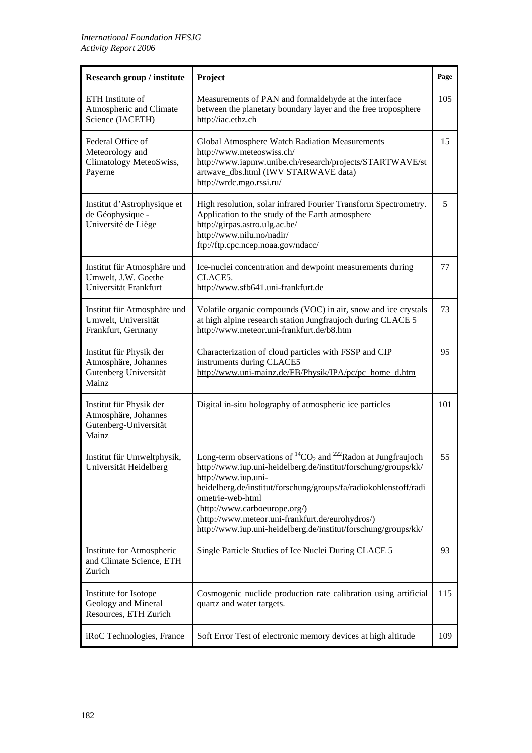| <b>Research group / institute</b>                                                 | Project                                                                                                                                                                                                                                                                                                                                                                                                              | Page |
|-----------------------------------------------------------------------------------|----------------------------------------------------------------------------------------------------------------------------------------------------------------------------------------------------------------------------------------------------------------------------------------------------------------------------------------------------------------------------------------------------------------------|------|
| ETH Institute of<br>Atmospheric and Climate<br>Science (IACETH)                   | Measurements of PAN and formaldehyde at the interface<br>between the planetary boundary layer and the free troposphere<br>http://iac.ethz.ch                                                                                                                                                                                                                                                                         | 105  |
| Federal Office of<br>Meteorology and<br>Climatology MeteoSwiss,<br>Payerne        | Global Atmosphere Watch Radiation Measurements<br>http://www.meteoswiss.ch/<br>http://www.iapmw.unibe.ch/research/projects/STARTWAVE/st<br>artwave_dbs.html (IWV STARWAVE data)<br>http://wrdc.mgo.rssi.ru/                                                                                                                                                                                                          | 15   |
| Institut d'Astrophysique et<br>de Géophysique -<br>Université de Liège            | High resolution, solar infrared Fourier Transform Spectrometry.<br>Application to the study of the Earth atmosphere<br>http://girpas.astro.ulg.ac.be/<br>http://www.nilu.no/nadir/<br>ftp://ftp.cpc.ncep.noaa.gov/ndacc/                                                                                                                                                                                             | 5    |
| Institut für Atmosphäre und<br>Umwelt, J.W. Goethe<br>Universität Frankfurt       | Ice-nuclei concentration and dewpoint measurements during<br>CLACE5.<br>http://www.sfb641.uni-frankfurt.de                                                                                                                                                                                                                                                                                                           | 77   |
| Institut für Atmosphäre und<br>Umwelt, Universität<br>Frankfurt, Germany          | Volatile organic compounds (VOC) in air, snow and ice crystals<br>at high alpine research station Jungfraujoch during CLACE 5<br>http://www.meteor.uni-frankfurt.de/b8.htm                                                                                                                                                                                                                                           | 73   |
| Institut für Physik der<br>Atmosphäre, Johannes<br>Gutenberg Universität<br>Mainz | Characterization of cloud particles with FSSP and CIP<br>instruments during CLACE5<br>http://www.uni-mainz.de/FB/Physik/IPA/pc/pc_home_d.htm                                                                                                                                                                                                                                                                         | 95   |
| Institut für Physik der<br>Atmosphäre, Johannes<br>Gutenberg-Universität<br>Mainz | Digital in-situ holography of atmospheric ice particles                                                                                                                                                                                                                                                                                                                                                              | 101  |
| Institut für Umweltphysik,<br>Universität Heidelberg                              | Long-term observations of ${}^{14}CO_2$ and ${}^{222}$ Radon at Jungfraujoch<br>http://www.iup.uni-heidelberg.de/institut/forschung/groups/kk/<br>http://www.iup.uni-<br>heidelberg.de/institut/forschung/groups/fa/radiokohlenstoff/radi<br>ometrie-web-html<br>(http://www.carboeurope.org/)<br>(http://www.meteor.uni-frankfurt.de/eurohydros/)<br>http://www.iup.uni-heidelberg.de/institut/forschung/groups/kk/ | 55   |
| Institute for Atmospheric<br>and Climate Science, ETH<br>Zurich                   | Single Particle Studies of Ice Nuclei During CLACE 5                                                                                                                                                                                                                                                                                                                                                                 | 93   |
| Institute for Isotope<br>Geology and Mineral<br>Resources, ETH Zurich             | Cosmogenic nuclide production rate calibration using artificial<br>quartz and water targets.                                                                                                                                                                                                                                                                                                                         | 115  |
| iRoC Technologies, France                                                         | Soft Error Test of electronic memory devices at high altitude                                                                                                                                                                                                                                                                                                                                                        | 109  |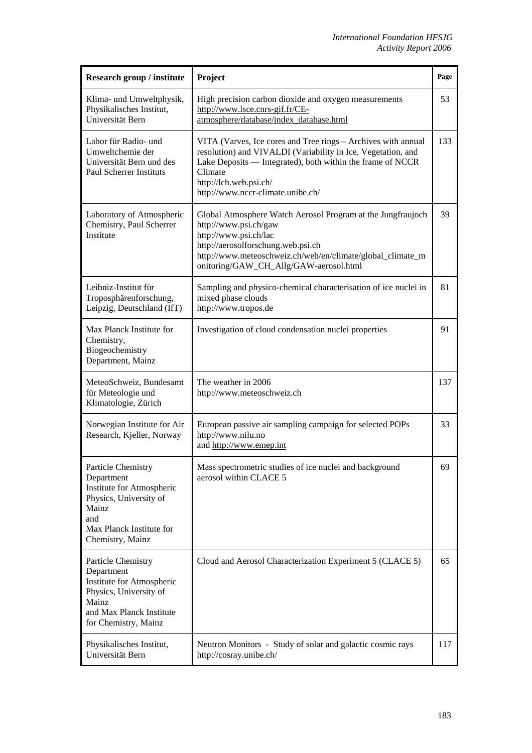| Research group / institute                                                                                                                              | Project                                                                                                                                                                                                                                                               | Page |
|---------------------------------------------------------------------------------------------------------------------------------------------------------|-----------------------------------------------------------------------------------------------------------------------------------------------------------------------------------------------------------------------------------------------------------------------|------|
| Klima- und Umweltphysik,<br>Physikalisches Institut,<br>Universität Bern                                                                                | High precision carbon dioxide and oxygen measurements<br>http://www.lsce.cnrs-gif.fr/CE-<br>atmosphere/database/index_database.html                                                                                                                                   | 53   |
| Labor für Radio- und<br>Umweltchemie der<br>Universität Bern und des<br><b>Paul Scherrer Instituts</b>                                                  | VITA (Varves, Ice cores and Tree rings - Archives with annual<br>resolution) and VIVALDI (Variability in Ice, Vegetation, and<br>Lake Deposits — Integrated), both within the frame of NCCR<br>Climate<br>http://lch.web.psi.ch/<br>http://www.nccr-climate.unibe.ch/ | 133  |
| Laboratory of Atmospheric<br>Chemistry, Paul Scherrer<br>Institute                                                                                      | Global Atmosphere Watch Aerosol Program at the Jungfraujoch<br>http://www.psi.ch/gaw<br>http://www.psi.ch/lac<br>http://aerosolforschung.web.psi.ch<br>http://www.meteoschweiz.ch/web/en/climate/global_climate_m<br>onitoring/GAW_CH_Allg/GAW-aerosol.html           | 39   |
| Leibniz-Institut für<br>Troposphärenforschung,<br>Leipzig, Deutschland (IfT)                                                                            | Sampling and physico-chemical characterisation of ice nuclei in<br>mixed phase clouds<br>http://www.tropos.de                                                                                                                                                         | 81   |
| Max Planck Institute for<br>Chemistry,<br>Biogeochemistry<br>Department, Mainz                                                                          | Investigation of cloud condensation nuclei properties                                                                                                                                                                                                                 | 91   |
| MeteoSchweiz, Bundesamt<br>für Meteologie und<br>Klimatologie, Zürich                                                                                   | The weather in 2006<br>http://www.meteoschweiz.ch                                                                                                                                                                                                                     | 137  |
| Norwegian Institute for Air<br>Research, Kjeller, Norway                                                                                                | European passive air sampling campaign for selected POPs<br>http://www.nilu.no<br>and http://www.emep.int                                                                                                                                                             | 33   |
| Particle Chemistry<br>Department<br>Institute for Atmospheric<br>Physics, University of<br>Mainz<br>and<br>Max Planck Institute for<br>Chemistry, Mainz | Mass spectrometric studies of ice nuclei and background<br>aerosol within CLACE 5                                                                                                                                                                                     | 69   |
| Particle Chemistry<br>Department<br>Institute for Atmospheric<br>Physics, University of<br>Mainz<br>and Max Planck Institute<br>for Chemistry, Mainz    | Cloud and Aerosol Characterization Experiment 5 (CLACE 5)                                                                                                                                                                                                             | 65   |
| Physikalisches Institut,<br>Universität Bern                                                                                                            | Neutron Monitors - Study of solar and galactic cosmic rays<br>http://cosray.unibe.ch/                                                                                                                                                                                 | 117  |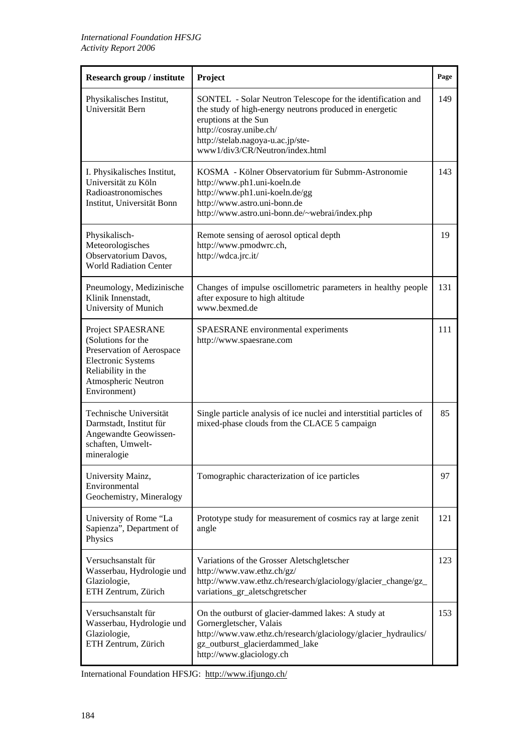| <b>Research group / institute</b>                                                                                                                              | Project                                                                                                                                                                                                                                           | Page |
|----------------------------------------------------------------------------------------------------------------------------------------------------------------|---------------------------------------------------------------------------------------------------------------------------------------------------------------------------------------------------------------------------------------------------|------|
| Physikalisches Institut,<br>Universität Bern                                                                                                                   | SONTEL - Solar Neutron Telescope for the identification and<br>the study of high-energy neutrons produced in energetic<br>eruptions at the Sun<br>http://cosray.unibe.ch/<br>http://stelab.nagoya-u.ac.jp/ste-<br>www1/div3/CR/Neutron/index.html | 149  |
| I. Physikalisches Institut,<br>Universität zu Köln<br>Radioastronomisches<br>Institut, Universität Bonn                                                        | KOSMA - Kölner Observatorium für Submm-Astronomie<br>http://www.ph1.uni-koeln.de<br>http://www.ph1.uni-koeln.de/gg<br>http://www.astro.uni-bonn.de<br>http://www.astro.uni-bonn.de/~webrai/index.php                                              | 143  |
| Physikalisch-<br>Meteorologisches<br>Observatorium Davos,<br><b>World Radiation Center</b>                                                                     | Remote sensing of aerosol optical depth<br>http://www.pmodwrc.ch,<br>http://wdca.jrc.it/                                                                                                                                                          | 19   |
| Pneumology, Medizinische<br>Klinik Innenstadt,<br>University of Munich                                                                                         | Changes of impulse oscillometric parameters in healthy people<br>after exposure to high altitude<br>www.bexmed.de                                                                                                                                 | 131  |
| Project SPAESRANE<br>(Solutions for the<br>Preservation of Aerospace<br><b>Electronic Systems</b><br>Reliability in the<br>Atmospheric Neutron<br>Environment) | SPAESRANE environmental experiments<br>http://www.spaesrane.com                                                                                                                                                                                   | 111  |
| Technische Universität<br>Darmstadt, Institut für<br>Angewandte Geowissen-<br>schaften, Umwelt-<br>mineralogie                                                 | Single particle analysis of ice nuclei and interstitial particles of<br>mixed-phase clouds from the CLACE 5 campaign                                                                                                                              | 85   |
| University Mainz,<br>Environmental<br>Geochemistry, Mineralogy                                                                                                 | Tomographic characterization of ice particles                                                                                                                                                                                                     | 97   |
| University of Rome "La<br>Sapienza", Department of<br>Physics                                                                                                  | Prototype study for measurement of cosmics ray at large zenit<br>angle                                                                                                                                                                            | 121  |
| Versuchsanstalt für<br>Wasserbau, Hydrologie und<br>Glaziologie,<br>ETH Zentrum, Zürich                                                                        | Variations of the Grosser Aletschgletscher<br>http://www.vaw.ethz.ch/gz/<br>http://www.vaw.ethz.ch/research/glaciology/glacier_change/gz_<br>variations_gr_aletschgretscher                                                                       | 123  |
| Versuchsanstalt für<br>Wasserbau, Hydrologie und<br>Glaziologie,<br>ETH Zentrum, Zürich                                                                        | On the outburst of glacier-dammed lakes: A study at<br>Gornergletscher, Valais<br>http://www.vaw.ethz.ch/research/glaciology/glacier_hydraulics/<br>gz_outburst_glacierdammed_lake<br>http://www.glaciology.ch                                    | 153  |

International Foundation HFSJG: http://www.ifjungo.ch/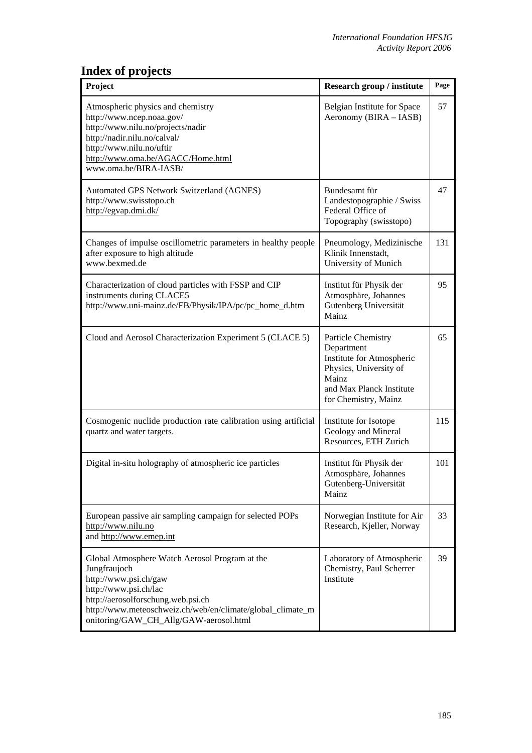## **Index of projects**

| Project                                                                                                                                                                                                                                                        | Research group / institute                                                                                                                           | Page |
|----------------------------------------------------------------------------------------------------------------------------------------------------------------------------------------------------------------------------------------------------------------|------------------------------------------------------------------------------------------------------------------------------------------------------|------|
| Atmospheric physics and chemistry<br>http://www.ncep.noaa.gov/<br>http://www.nilu.no/projects/nadir<br>http://nadir.nilu.no/calval/<br>http://www.nilu.no/uftir<br>http://www.oma.be/AGACC/Home.html<br>www.oma.be/BIRA-IASB/                                  | Belgian Institute for Space<br>Aeronomy (BIRA - IASB)                                                                                                | 57   |
| Automated GPS Network Switzerland (AGNES)<br>http://www.swisstopo.ch<br>http://egvap.dmi.dk/                                                                                                                                                                   | Bundesamt für<br>Landestopographie / Swiss<br>Federal Office of<br>Topography (swisstopo)                                                            | 47   |
| Changes of impulse oscillometric parameters in healthy people<br>after exposure to high altitude<br>www.bexmed.de                                                                                                                                              | Pneumology, Medizinische<br>Klinik Innenstadt,<br>University of Munich                                                                               | 131  |
| Characterization of cloud particles with FSSP and CIP<br>instruments during CLACE5<br>http://www.uni-mainz.de/FB/Physik/IPA/pc/pc home d.htm                                                                                                                   | Institut für Physik der<br>Atmosphäre, Johannes<br>Gutenberg Universität<br>Mainz                                                                    | 95   |
| Cloud and Aerosol Characterization Experiment 5 (CLACE 5)                                                                                                                                                                                                      | Particle Chemistry<br>Department<br>Institute for Atmospheric<br>Physics, University of<br>Mainz<br>and Max Planck Institute<br>for Chemistry, Mainz | 65   |
| Cosmogenic nuclide production rate calibration using artificial<br>quartz and water targets.                                                                                                                                                                   | Institute for Isotope<br>Geology and Mineral<br>Resources, ETH Zurich                                                                                | 115  |
| Digital in-situ holography of atmospheric ice particles                                                                                                                                                                                                        | Institut für Physik der<br>Atmosphäre, Johannes<br>Gutenberg-Universität<br>Mainz                                                                    | 101  |
| European passive air sampling campaign for selected POPs<br>http://www.nilu.no<br>and http://www.emep.int                                                                                                                                                      | Norwegian Institute for Air<br>Research, Kjeller, Norway                                                                                             | 33   |
| Global Atmosphere Watch Aerosol Program at the<br>Jungfraujoch<br>http://www.psi.ch/gaw<br>http://www.psi.ch/lac<br>http://aerosolforschung.web.psi.ch<br>http://www.meteoschweiz.ch/web/en/climate/global_climate_m<br>onitoring/GAW_CH_Allg/GAW-aerosol.html | Laboratory of Atmospheric<br>Chemistry, Paul Scherrer<br>Institute                                                                                   | 39   |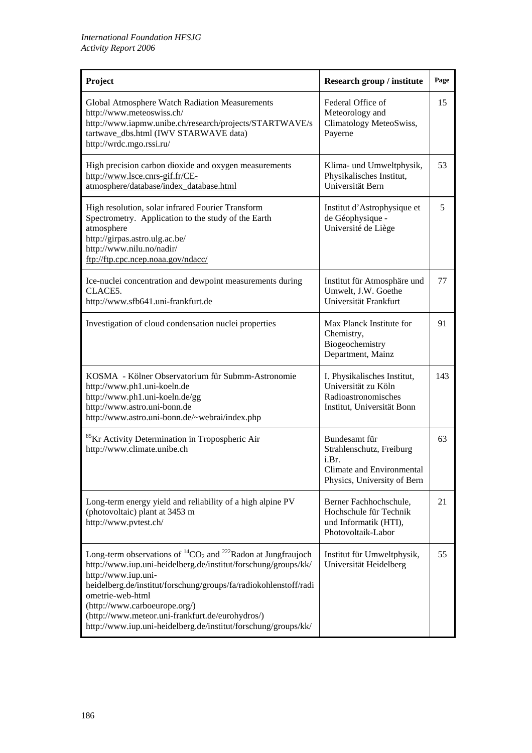| Project                                                                                                                                                                                                                                                                                                                                                                                                              | <b>Research group / institute</b>                                                                              | Page |
|----------------------------------------------------------------------------------------------------------------------------------------------------------------------------------------------------------------------------------------------------------------------------------------------------------------------------------------------------------------------------------------------------------------------|----------------------------------------------------------------------------------------------------------------|------|
| Global Atmosphere Watch Radiation Measurements<br>http://www.meteoswiss.ch/<br>http://www.iapmw.unibe.ch/research/projects/STARTWAVE/s<br>tartwave_dbs.html (IWV STARWAVE data)<br>http://wrdc.mgo.rssi.ru/                                                                                                                                                                                                          | Federal Office of<br>Meteorology and<br>Climatology MeteoSwiss,<br>Payerne                                     | 15   |
| High precision carbon dioxide and oxygen measurements<br>http://www.lsce.cnrs-gif.fr/CE-<br>atmosphere/database/index_database.html                                                                                                                                                                                                                                                                                  | Klima- und Umweltphysik,<br>Physikalisches Institut,<br>Universität Bern                                       | 53   |
| High resolution, solar infrared Fourier Transform<br>Spectrometry. Application to the study of the Earth<br>atmosphere<br>http://girpas.astro.ulg.ac.be/<br>http://www.nilu.no/nadir/<br>ftp://ftp.cpc.ncep.noaa.gov/ndacc/                                                                                                                                                                                          | Institut d'Astrophysique et<br>de Géophysique -<br>Université de Liège                                         | 5    |
| Ice-nuclei concentration and dewpoint measurements during<br>CLACE <sub>5</sub> .<br>http://www.sfb641.uni-frankfurt.de                                                                                                                                                                                                                                                                                              | Institut für Atmosphäre und<br>Umwelt, J.W. Goethe<br>Universität Frankfurt                                    | 77   |
| Investigation of cloud condensation nuclei properties                                                                                                                                                                                                                                                                                                                                                                | Max Planck Institute for<br>Chemistry,<br>Biogeochemistry<br>Department, Mainz                                 | 91   |
| KOSMA - Kölner Observatorium für Submm-Astronomie<br>http://www.ph1.uni-koeln.de<br>http://www.ph1.uni-koeln.de/gg<br>http://www.astro.uni-bonn.de<br>http://www.astro.uni-bonn.de/~webrai/index.php                                                                                                                                                                                                                 | I. Physikalisches Institut,<br>Universität zu Köln<br>Radioastronomisches<br>Institut, Universität Bonn        | 143  |
| <sup>85</sup> Kr Activity Determination in Tropospheric Air<br>http://www.climate.unibe.ch                                                                                                                                                                                                                                                                                                                           | Bundesamt für<br>Strahlenschutz, Freiburg<br>i.Br.<br>Climate and Environmental<br>Physics, University of Bern | 63   |
| Long-term energy yield and reliability of a high alpine PV<br>(photovoltaic) plant at 3453 m<br>http://www.pvtest.ch/                                                                                                                                                                                                                                                                                                | Berner Fachhochschule,<br>Hochschule für Technik<br>und Informatik (HTI),<br>Photovoltaik-Labor                | 21   |
| Long-term observations of ${}^{14}CO_2$ and ${}^{222}$ Radon at Jungfraujoch<br>http://www.iup.uni-heidelberg.de/institut/forschung/groups/kk/<br>http://www.iup.uni-<br>heidelberg.de/institut/forschung/groups/fa/radiokohlenstoff/radi<br>ometrie-web-html<br>(http://www.carboeurope.org/)<br>(http://www.meteor.uni-frankfurt.de/eurohydros/)<br>http://www.iup.uni-heidelberg.de/institut/forschung/groups/kk/ | Institut für Umweltphysik,<br>Universität Heidelberg                                                           | 55   |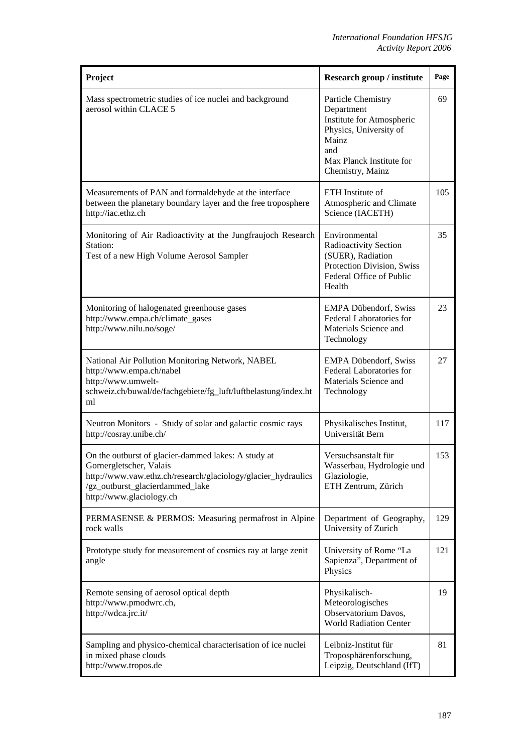| Project                                                                                                                                                                                                        | Research group / institute                                                                                                                              | Page |
|----------------------------------------------------------------------------------------------------------------------------------------------------------------------------------------------------------------|---------------------------------------------------------------------------------------------------------------------------------------------------------|------|
| Mass spectrometric studies of ice nuclei and background<br>aerosol within CLACE 5                                                                                                                              | Particle Chemistry<br>Department<br>Institute for Atmospheric<br>Physics, University of<br>Mainz<br>and<br>Max Planck Institute for<br>Chemistry, Mainz | 69   |
| Measurements of PAN and formaldehyde at the interface<br>between the planetary boundary layer and the free troposphere<br>http://iac.ethz.ch                                                                   | ETH Institute of<br>Atmospheric and Climate<br>Science (IACETH)                                                                                         | 105  |
| Monitoring of Air Radioactivity at the Jungfraujoch Research<br>Station:<br>Test of a new High Volume Aerosol Sampler                                                                                          | Environmental<br>Radioactivity Section<br>(SUER), Radiation<br>Protection Division, Swiss<br>Federal Office of Public<br>Health                         | 35   |
| Monitoring of halogenated greenhouse gases<br>http://www.empa.ch/climate_gases<br>http://www.nilu.no/soge/                                                                                                     | <b>EMPA Dübendorf, Swiss</b><br>Federal Laboratories for<br>Materials Science and<br>Technology                                                         | 23   |
| National Air Pollution Monitoring Network, NABEL<br>http://www.empa.ch/nabel<br>http://www.umwelt-<br>schweiz.ch/buwal/de/fachgebiete/fg_luft/luftbelastung/index.ht<br>ml                                     | <b>EMPA Dübendorf, Swiss</b><br>Federal Laboratories for<br>Materials Science and<br>Technology                                                         | 27   |
| Neutron Monitors - Study of solar and galactic cosmic rays<br>http://cosray.unibe.ch/                                                                                                                          | Physikalisches Institut,<br>Universität Bern                                                                                                            | 117  |
| On the outburst of glacier-dammed lakes: A study at<br>Gornergletscher, Valais<br>http://www.vaw.ethz.ch/research/glaciology/glacier_hydraulics<br>/gz_outburst_glacierdammed_lake<br>http://www.glaciology.ch | Versuchsanstalt für<br>Wasserbau, Hydrologie und<br>Glaziologie,<br>ETH Zentrum, Zürich                                                                 | 153  |
| PERMASENSE & PERMOS: Measuring permafrost in Alpine<br>rock walls                                                                                                                                              | Department of Geography,<br>University of Zurich                                                                                                        | 129  |
| Prototype study for measurement of cosmics ray at large zenit<br>angle                                                                                                                                         | University of Rome "La<br>Sapienza", Department of<br>Physics                                                                                           | 121  |
| Remote sensing of aerosol optical depth<br>http://www.pmodwrc.ch,<br>http://wdca.jrc.it/                                                                                                                       | Physikalisch-<br>Meteorologisches<br>Observatorium Davos,<br><b>World Radiation Center</b>                                                              | 19   |
| Sampling and physico-chemical characterisation of ice nuclei<br>in mixed phase clouds<br>http://www.tropos.de                                                                                                  | Leibniz-Institut für<br>Troposphärenforschung,<br>Leipzig, Deutschland (IfT)                                                                            | 81   |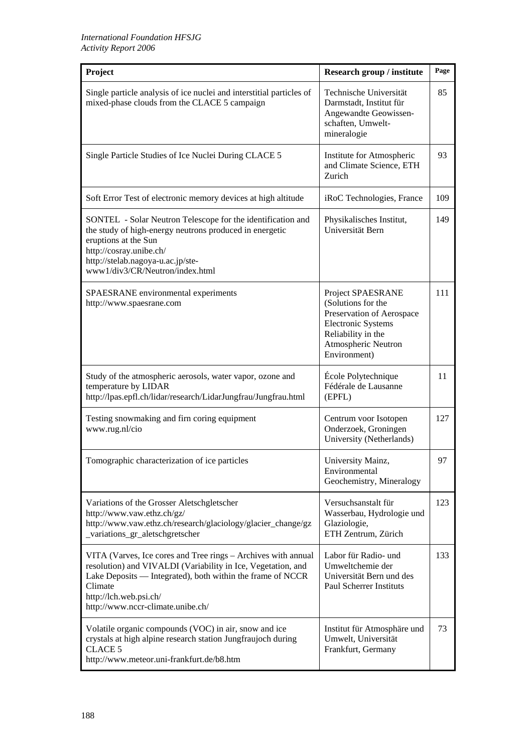| Project                                                                                                                                                                                                                                                               | <b>Research group / institute</b>                                                                                                                              | Page |
|-----------------------------------------------------------------------------------------------------------------------------------------------------------------------------------------------------------------------------------------------------------------------|----------------------------------------------------------------------------------------------------------------------------------------------------------------|------|
| Single particle analysis of ice nuclei and interstitial particles of<br>mixed-phase clouds from the CLACE 5 campaign                                                                                                                                                  | Technische Universität<br>Darmstadt, Institut für<br>Angewandte Geowissen-<br>schaften, Umwelt-<br>mineralogie                                                 | 85   |
| Single Particle Studies of Ice Nuclei During CLACE 5                                                                                                                                                                                                                  | Institute for Atmospheric<br>and Climate Science, ETH<br>Zurich                                                                                                | 93   |
| Soft Error Test of electronic memory devices at high altitude                                                                                                                                                                                                         | iRoC Technologies, France                                                                                                                                      | 109  |
| SONTEL - Solar Neutron Telescope for the identification and<br>the study of high-energy neutrons produced in energetic<br>eruptions at the Sun<br>http://cosray.unibe.ch/<br>http://stelab.nagoya-u.ac.jp/ste-<br>www1/div3/CR/Neutron/index.html                     | Physikalisches Institut,<br>Universität Bern                                                                                                                   | 149  |
| SPAESRANE environmental experiments<br>http://www.spaesrane.com                                                                                                                                                                                                       | Project SPAESRANE<br>(Solutions for the<br>Preservation of Aerospace<br><b>Electronic Systems</b><br>Reliability in the<br>Atmospheric Neutron<br>Environment) | 111  |
| Study of the atmospheric aerosols, water vapor, ozone and<br>temperature by LIDAR<br>http://lpas.epfl.ch/lidar/research/LidarJungfrau/Jungfrau.html                                                                                                                   | École Polytechnique<br>Fédérale de Lausanne<br>(EPFL)                                                                                                          | 11   |
| Testing snowmaking and firn coring equipment<br>www.rug.nl/cio                                                                                                                                                                                                        | Centrum voor Isotopen<br>Onderzoek, Groningen<br>University (Netherlands)                                                                                      | 127  |
| Tomographic characterization of ice particles                                                                                                                                                                                                                         | University Mainz,<br>Environmental<br>Geochemistry, Mineralogy                                                                                                 | 97   |
| Variations of the Grosser Aletschgletscher<br>http://www.vaw.ethz.ch/gz/<br>http://www.vaw.ethz.ch/research/glaciology/glacier_change/gz<br>_variations_gr_aletschgretscher                                                                                           | Versuchsanstalt für<br>Wasserbau, Hydrologie und<br>Glaziologie,<br>ETH Zentrum, Zürich                                                                        | 123  |
| VITA (Varves, Ice cores and Tree rings - Archives with annual<br>resolution) and VIVALDI (Variability in Ice, Vegetation, and<br>Lake Deposits — Integrated), both within the frame of NCCR<br>Climate<br>http://lch.web.psi.ch/<br>http://www.nccr-climate.unibe.ch/ | Labor für Radio- und<br>Umweltchemie der<br>Universität Bern und des<br>Paul Scherrer Instituts                                                                | 133  |
| Volatile organic compounds (VOC) in air, snow and ice<br>crystals at high alpine research station Jungfraujoch during<br><b>CLACE 5</b><br>http://www.meteor.uni-frankfurt.de/b8.htm                                                                                  | Institut für Atmosphäre und<br>Umwelt, Universität<br>Frankfurt, Germany                                                                                       | 73   |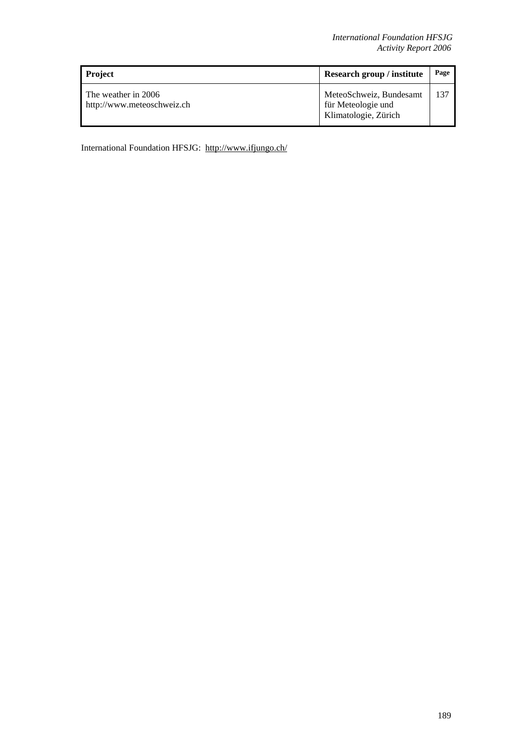| <b>Project</b>                                    | Research group / institute                                            | Page |
|---------------------------------------------------|-----------------------------------------------------------------------|------|
| The weather in 2006<br>http://www.meteoschweiz.ch | MeteoSchweiz, Bundesamt<br>für Meteologie und<br>Klimatologie, Zürich | 137  |

International Foundation HFSJG: http://www.ifjungo.ch/